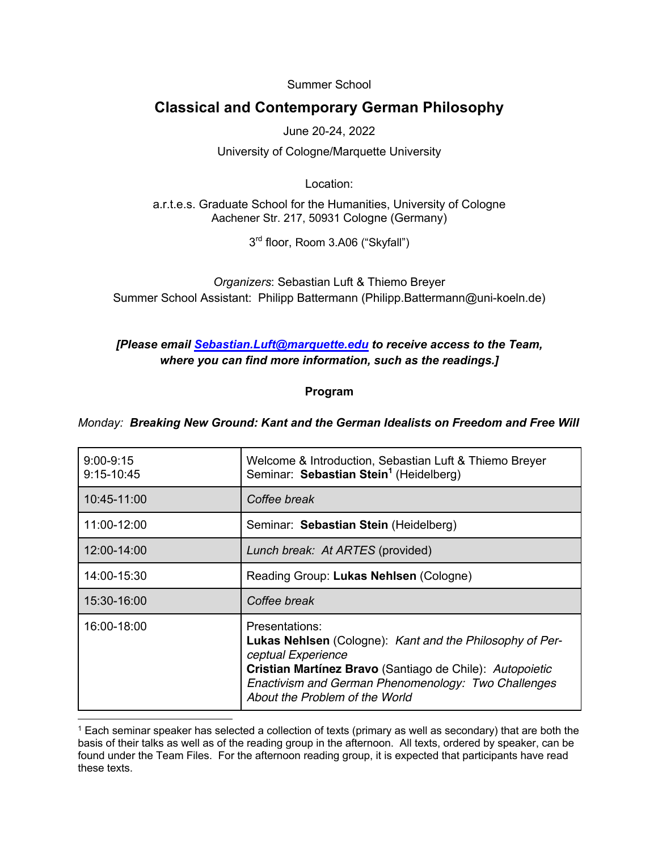Summer School

# **Classical and Contemporary German Philosophy**

June 20-24, 2022

University of Cologne/Marquette University

Location:

a.r.t.e.s. Graduate School for the Humanities, University of Cologne Aachener Str. 217, 50931 Cologne (Germany)

3rd floor, Room 3.A06 ("Skyfall")

*Organizers*: Sebastian Luft & Thiemo Breyer Summer School Assistant: Philipp Battermann (Philipp.Battermann@uni-koeln.de)

#### *[Please email Sebastian.Luft@marquette.edu to receive access to the Team, where you can find more information, such as the readings.]*

#### **Program**

*Monday: Breaking New Ground: Kant and the German Idealists on Freedom and Free Will*

| $9:00 - 9:15$<br>9:15-10:45 | Welcome & Introduction, Sebastian Luft & Thiemo Breyer<br>Seminar: Sebastian Stein <sup>1</sup> (Heidelberg)                                                                                                                                                 |
|-----------------------------|--------------------------------------------------------------------------------------------------------------------------------------------------------------------------------------------------------------------------------------------------------------|
| 10:45-11:00                 | Coffee break                                                                                                                                                                                                                                                 |
| 11:00-12:00                 | Seminar: Sebastian Stein (Heidelberg)                                                                                                                                                                                                                        |
| 12:00-14:00                 | Lunch break: At ARTES (provided)                                                                                                                                                                                                                             |
| 14:00-15:30                 | Reading Group: Lukas Nehlsen (Cologne)                                                                                                                                                                                                                       |
| 15:30-16:00                 | Coffee break                                                                                                                                                                                                                                                 |
| 16:00-18:00                 | Presentations:<br><b>Lukas Nehlsen</b> (Cologne): Kant and the Philosophy of Per-<br>ceptual Experience<br>Cristian Martínez Bravo (Santiago de Chile): Autopoietic<br>Enactivism and German Phenomenology: Two Challenges<br>About the Problem of the World |

<sup>1</sup> Each seminar speaker has selected a collection of texts (primary as well as secondary) that are both the basis of their talks as well as of the reading group in the afternoon. All texts, ordered by speaker, can be found under the Team Files. For the afternoon reading group, it is expected that participants have read these texts.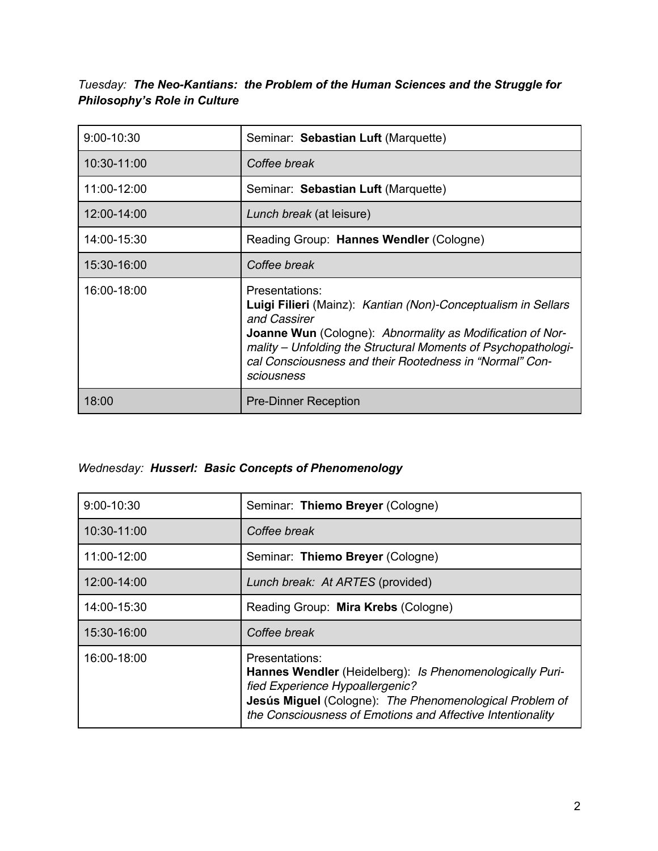*Tuesday: The Neo-Kantians: the Problem of the Human Sciences and the Struggle for Philosophy's Role in Culture*

| 9:00-10:30  | Seminar: Sebastian Luft (Marquette)                                                                                                                                                                                                                                                                           |
|-------------|---------------------------------------------------------------------------------------------------------------------------------------------------------------------------------------------------------------------------------------------------------------------------------------------------------------|
| 10:30-11:00 | Coffee break                                                                                                                                                                                                                                                                                                  |
| 11:00-12:00 | Seminar: Sebastian Luft (Marquette)                                                                                                                                                                                                                                                                           |
| 12:00-14:00 | Lunch break (at leisure)                                                                                                                                                                                                                                                                                      |
| 14:00-15:30 | Reading Group: Hannes Wendler (Cologne)                                                                                                                                                                                                                                                                       |
| 15:30-16:00 | Coffee break                                                                                                                                                                                                                                                                                                  |
| 16:00-18:00 | Presentations:<br>Luigi Filieri (Mainz): Kantian (Non)-Conceptualism in Sellars<br>and Cassirer<br><b>Joanne Wun</b> (Cologne): Abnormality as Modification of Nor-<br>mality – Unfolding the Structural Moments of Psychopathologi-<br>cal Consciousness and their Rootedness in "Normal" Con-<br>sciousness |
| 18:00       | <b>Pre-Dinner Reception</b>                                                                                                                                                                                                                                                                                   |

# *Wednesday: Husserl: Basic Concepts of Phenomenology*

| 9:00-10:30  | Seminar: Thiemo Breyer (Cologne)                                                                                                                                                                                                       |
|-------------|----------------------------------------------------------------------------------------------------------------------------------------------------------------------------------------------------------------------------------------|
| 10:30-11:00 | Coffee break                                                                                                                                                                                                                           |
| 11:00-12:00 | Seminar: Thiemo Breyer (Cologne)                                                                                                                                                                                                       |
| 12:00-14:00 | Lunch break: At ARTES (provided)                                                                                                                                                                                                       |
| 14:00-15:30 | Reading Group: Mira Krebs (Cologne)                                                                                                                                                                                                    |
| 15:30-16:00 | Coffee break                                                                                                                                                                                                                           |
| 16:00-18:00 | Presentations:<br>Hannes Wendler (Heidelberg): Is Phenomenologically Puri-<br>fied Experience Hypoallergenic?<br>Jesús Miguel (Cologne): The Phenomenological Problem of<br>the Consciousness of Emotions and Affective Intentionality |